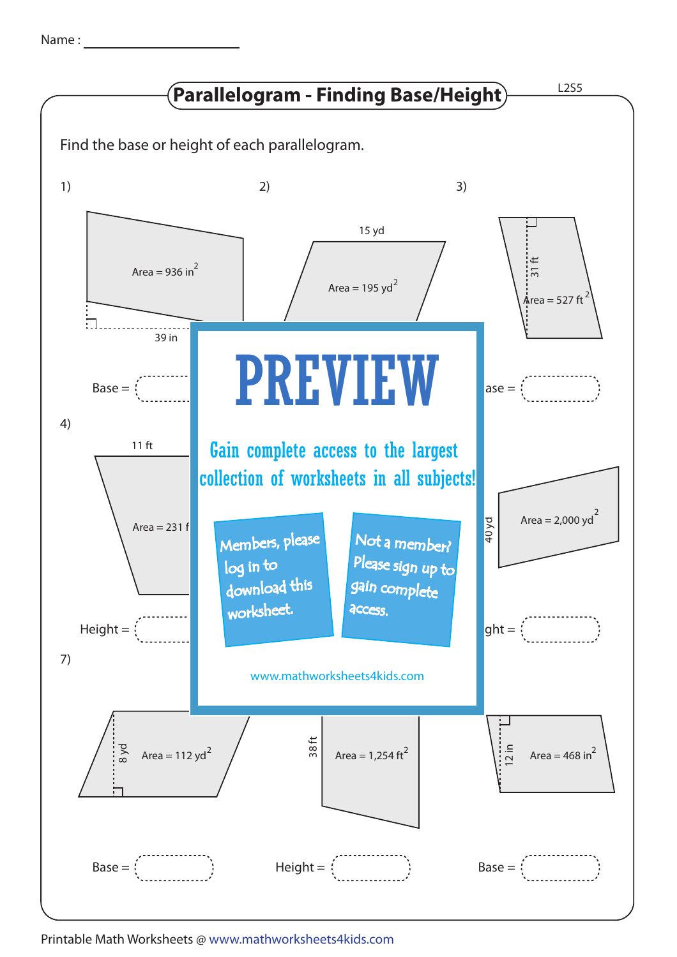| Name |  |
|------|--|
|      |  |



Printable Math Worksheets @ www.mathworksheets4kids.com